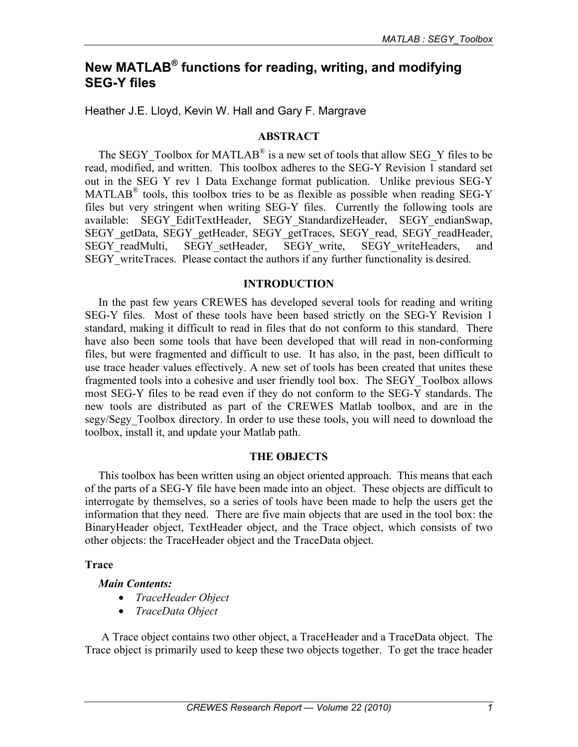# **New MATLAB® functions for reading, writing, and modifying SEG-Y files**

Heather J.E. Lloyd, Kevin W. Hall and Gary F. Margrave

#### **ABSTRACT**

The SEGY Toolbox for MATLAB<sup>®</sup> is a new set of tools that allow SEG\_Y files to be read, modified, and written. This toolbox adheres to the SEG-Y Revision 1 standard set out in the SEG Y rev 1 Data Exchange format publication. Unlike previous SEG-Y MATLAB® tools, this toolbox tries to be as flexible as possible when reading SEG-Y files but very stringent when writing SEG-Y files. Currently the following tools are available: SEGY\_EditTextHeader, SEGY\_StandardizeHeader, SEGY\_endianSwap, SEGY\_getData, SEGY\_getHeader, SEGY\_getTraces, SEGY\_read, SEGY\_readHeader, SEGY\_readMulti, SEGY\_setHeader, SEGY\_write, SEGY\_writeHeaders, and SEGY writeTraces. Please contact the authors if any further functionality is desired.

#### **INTRODUCTION**

In the past few years CREWES has developed several tools for reading and writing SEG-Y files. Most of these tools have been based strictly on the SEG-Y Revision 1 standard, making it difficult to read in files that do not conform to this standard. There have also been some tools that have been developed that will read in non-conforming files, but were fragmented and difficult to use. It has also, in the past, been difficult to use trace header values effectively. A new set of tools has been created that unites these fragmented tools into a cohesive and user friendly tool box. The SEGY\_Toolbox allows most SEG-Y files to be read even if they do not conform to the SEG-Y standards. The new tools are distributed as part of the CREWES Matlab toolbox, and are in the segy/Segy Toolbox directory. In order to use these tools, you will need to download the toolbox, install it, and update your Matlab path.

#### **THE OBJECTS**

This toolbox has been written using an object oriented approach. This means that each of the parts of a SEG-Y file have been made into an object. These objects are difficult to interrogate by themselves, so a series of tools have been made to help the users get the information that they need. There are five main objects that are used in the tool box: the BinaryHeader object, TextHeader object, and the Trace object, which consists of two other objects: the TraceHeader object and the TraceData object.

#### **Trace**

#### *Main Contents:*

- *TraceHeader Object*
- *TraceData Object*

A Trace object contains two other object, a TraceHeader and a TraceData object. The Trace object is primarily used to keep these two objects together. To get the trace header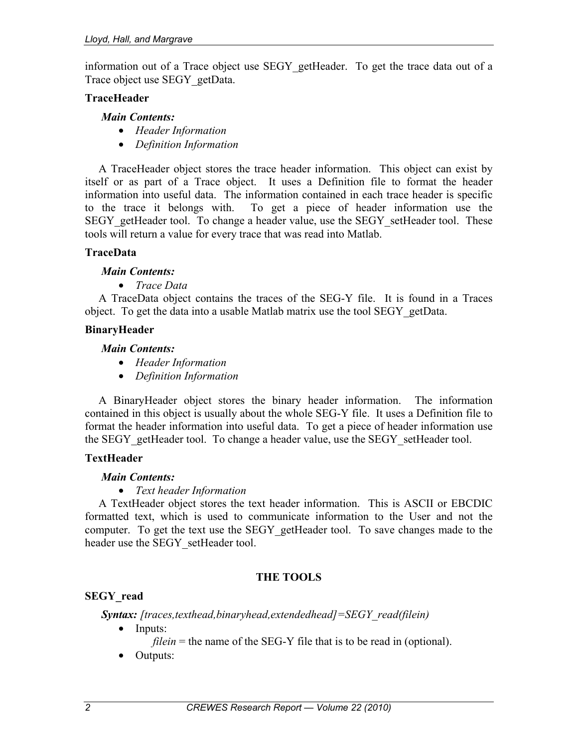information out of a Trace object use SEGY\_getHeader. To get the trace data out of a Trace object use SEGY\_getData.

### **TraceHeader**

#### *Main Contents:*

- *Header Information*
- *Definition Information*

A TraceHeader object stores the trace header information. This object can exist by itself or as part of a Trace object. It uses a Definition file to format the header information into useful data. The information contained in each trace header is specific to the trace it belongs with. To get a piece of header information use the SEGY\_getHeader tool. To change a header value, use the SEGY\_setHeader tool. These tools will return a value for every trace that was read into Matlab.

#### **TraceData**

#### *Main Contents:*

• *Trace Data* 

A TraceData object contains the traces of the SEG-Y file. It is found in a Traces object. To get the data into a usable Matlab matrix use the tool SEGY\_getData.

#### **BinaryHeader**

#### *Main Contents:*

- *Header Information*
- *Definition Information*

A BinaryHeader object stores the binary header information. The information contained in this object is usually about the whole SEG-Y file. It uses a Definition file to format the header information into useful data. To get a piece of header information use the SEGY getHeader tool. To change a header value, use the SEGY setHeader tool.

# **TextHeader**

#### *Main Contents:*

• *Text header Information* 

A TextHeader object stores the text header information. This is ASCII or EBCDIC formatted text, which is used to communicate information to the User and not the computer. To get the text use the SEGY getHeader tool. To save changes made to the header use the SEGY setHeader tool.

# **THE TOOLS**

# **SEGY\_read**

*Syntax: [traces,texthead,binaryhead,extendedhead]=SEGY\_read(filein)*

• Inputs:

*filein* = the name of the SEG-Y file that is to be read in (optional).

• Outputs: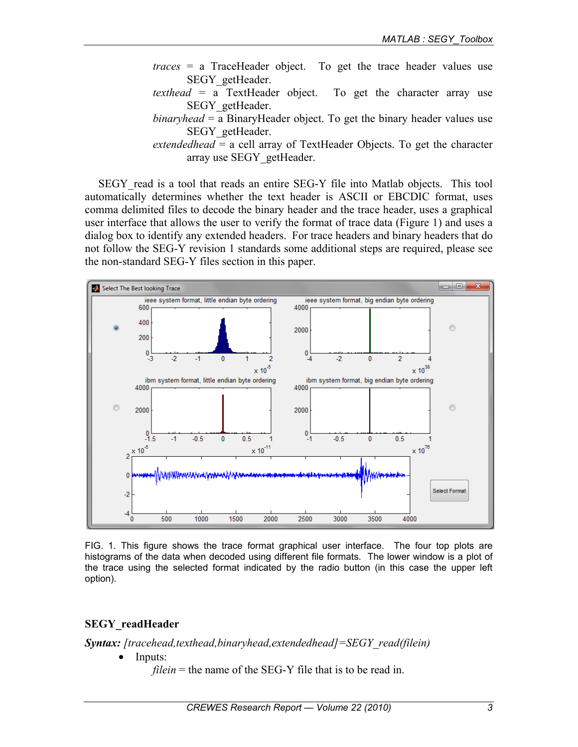- *traces* = a TraceHeader object. To get the trace header values use SEGY\_getHeader.
- *texthead* = a TextHeader object. To get the character array use SEGY\_getHeader.
- *binaryhead* = a BinaryHeader object. To get the binary header values use SEGY\_getHeader.
- *extendedhead* = a cell array of TextHeader Objects. To get the character array use SEGY\_getHeader.

SEGY\_read is a tool that reads an entire SEG-Y file into Matlab objects. This tool automatically determines whether the text header is ASCII or EBCDIC format, uses comma delimited files to decode the binary header and the trace header, uses a graphical user interface that allows the user to verify the format of trace data (Figure 1) and uses a dialog box to identify any extended headers. For trace headers and binary headers that do not follow the SEG-Y revision 1 standards some additional steps are required, please see the non-standard SEG-Y files section in this paper.



FIG. 1. This figure shows the trace format graphical user interface. The four top plots are histograms of the data when decoded using different file formats. The lower window is a plot of the trace using the selected format indicated by the radio button (in this case the upper left option).

# **SEGY\_readHeader**

*Syntax: [tracehead,texthead,binaryhead,extendedhead]=SEGY\_read(filein)* 

• Inputs:

*filein* = the name of the SEG-Y file that is to be read in.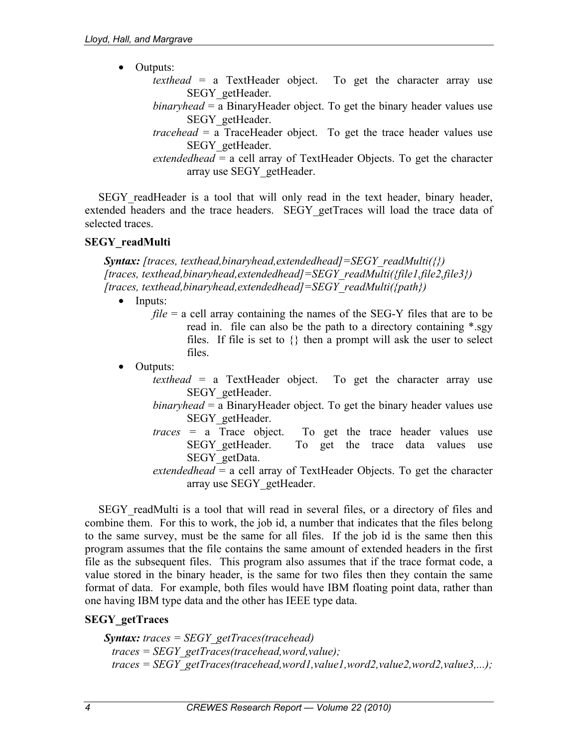- Outputs:
	- *texthead* = a TextHeader object. To get the character array use SEGY\_getHeader.
	- *binaryhead* = a BinaryHeader object. To get the binary header values use SEGY\_getHeader.
	- *tracehead* = a TraceHeader object. To get the trace header values use SEGY\_getHeader.
	- *extendedhead* = a cell array of TextHeader Objects. To get the character array use SEGY\_getHeader.

SEGY readHeader is a tool that will only read in the text header, binary header, extended headers and the trace headers. SEGY getTraces will load the trace data of selected traces.

# **SEGY\_readMulti**

 *Syntax: [traces, texthead,binaryhead,extendedhead]=SEGY\_readMulti({}) [traces, texthead,binaryhead,extendedhead]=SEGY\_readMulti({file1,file2,file3}) [traces, texthead,binaryhead,extendedhead]=SEGY\_readMulti({path})* 

- Inputs:
	- *file* = a cell array containing the names of the SEG-Y files that are to be read in. file can also be the path to a directory containing \*.sgy files. If file is set to  $\{\}$  then a prompt will ask the user to select files.
- Outputs:
	- *texthead* = a TextHeader object. To get the character array use SEGY\_getHeader.
	- *binaryhead* = a BinaryHeader object. To get the binary header values use SEGY\_getHeader.
	- *traces* = a Trace object. To get the trace header values use SEGY getHeader. To get the trace data values use SEGY\_getData.
	- *extendedhead* = a cell array of TextHeader Objects. To get the character array use SEGY\_getHeader.

SEGY readMulti is a tool that will read in several files, or a directory of files and combine them. For this to work, the job id, a number that indicates that the files belong to the same survey, must be the same for all files. If the job id is the same then this program assumes that the file contains the same amount of extended headers in the first file as the subsequent files. This program also assumes that if the trace format code, a value stored in the binary header, is the same for two files then they contain the same format of data. For example, both files would have IBM floating point data, rather than one having IBM type data and the other has IEEE type data.

# **SEGY\_getTraces**

 *Syntax: traces = SEGY\_getTraces(tracehead) traces = SEGY\_getTraces(tracehead,word,value); traces = SEGY\_getTraces(tracehead,word1,value1,word2,value2,word2,value3,...);*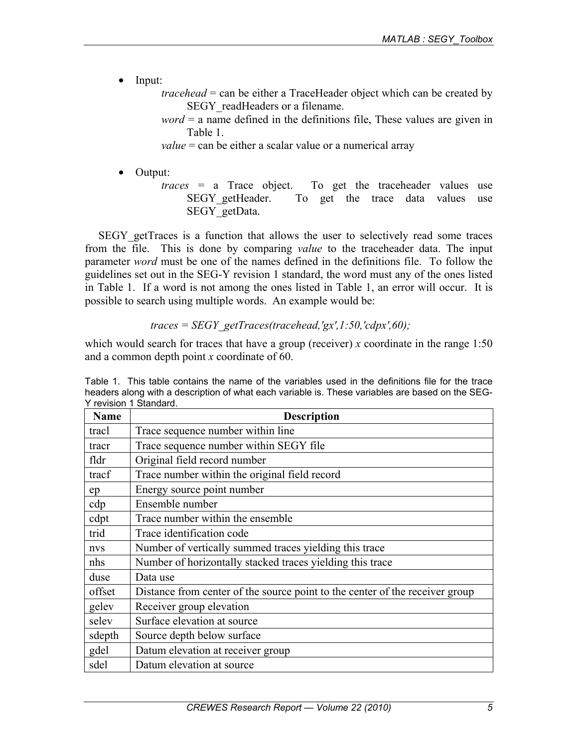• Input:

 *tracehead* = can be either a TraceHeader object which can be created by SEGY readHeaders or a filename.

 *word* = a name defined in the definitions file, These values are given in Table 1.

*value* = can be either a scalar value or a numerical array

- Output:
	- *traces* = a Trace object. To get the traceheader values use SEGY getHeader. To get the trace data values use SEGY\_getData.

SEGY\_getTraces is a function that allows the user to selectively read some traces from the file. This is done by comparing *value* to the traceheader data. The input parameter *word* must be one of the names defined in the definitions file. To follow the guidelines set out in the SEG-Y revision 1 standard, the word must any of the ones listed in Table 1. If a word is not among the ones listed in Table 1, an error will occur. It is possible to search using multiple words. An example would be:

*traces = SEGY\_getTraces(tracehead,'gx',1:50,'cdpx',60);* 

which would search for traces that have a group (receiver) *x* coordinate in the range 1:50 and a common depth point *x* coordinate of 60.

Table 1. This table contains the name of the variables used in the definitions file for the trace headers along with a description of what each variable is. These variables are based on the SEG-Y revision 1 Standard.

| <b>Name</b> | <b>Description</b>                                                           |  |  |  |
|-------------|------------------------------------------------------------------------------|--|--|--|
| tracl       | Trace sequence number within line                                            |  |  |  |
| tracr       | Trace sequence number within SEGY file                                       |  |  |  |
| fldr        | Original field record number                                                 |  |  |  |
| tracf       | Trace number within the original field record                                |  |  |  |
| ep          | Energy source point number                                                   |  |  |  |
| cdp         | Ensemble number                                                              |  |  |  |
| cdpt        | Trace number within the ensemble                                             |  |  |  |
| trid        | Trace identification code                                                    |  |  |  |
| nvs         | Number of vertically summed traces yielding this trace                       |  |  |  |
| nhs         | Number of horizontally stacked traces yielding this trace                    |  |  |  |
| duse        | Data use                                                                     |  |  |  |
| offset      | Distance from center of the source point to the center of the receiver group |  |  |  |
| gelev       | Receiver group elevation                                                     |  |  |  |
| selev       | Surface elevation at source                                                  |  |  |  |
| sdepth      | Source depth below surface                                                   |  |  |  |
| gdel        | Datum elevation at receiver group                                            |  |  |  |
| sdel        | Datum elevation at source                                                    |  |  |  |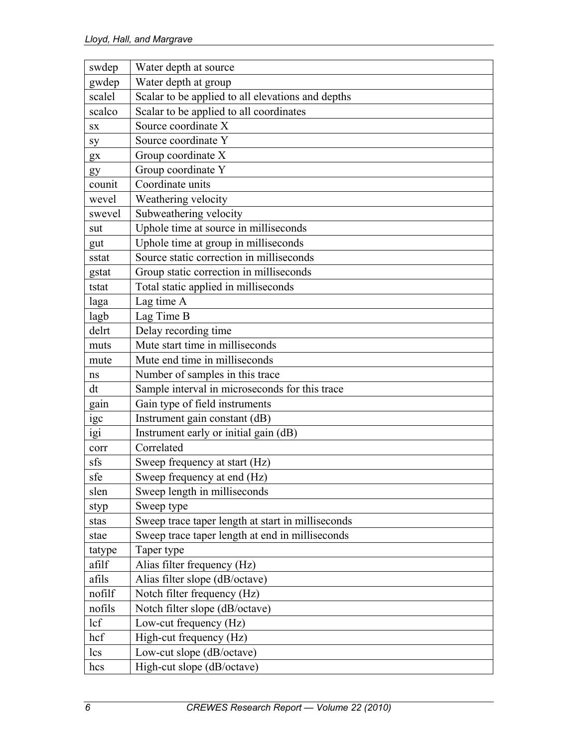| swdep     | Water depth at source                             |
|-----------|---------------------------------------------------|
| gwdep     | Water depth at group                              |
| scalel    | Scalar to be applied to all elevations and depths |
| scalco    | Scalar to be applied to all coordinates           |
| <b>SX</b> | Source coordinate X                               |
| sy        | Source coordinate Y                               |
| gx        | Group coordinate X                                |
| gy        | Group coordinate Y                                |
| counit    | Coordinate units                                  |
| wevel     | Weathering velocity                               |
| swevel    | Subweathering velocity                            |
| sut       | Uphole time at source in milliseconds             |
| gut       | Uphole time at group in milliseconds              |
| sstat     | Source static correction in milliseconds          |
| gstat     | Group static correction in milliseconds           |
| tstat     | Total static applied in milliseconds              |
| laga      | Lag time A                                        |
| lagb      | Lag Time B                                        |
| delrt     | Delay recording time                              |
| muts      | Mute start time in milliseconds                   |
| mute      | Mute end time in milliseconds                     |
| ns        | Number of samples in this trace                   |
| dt        | Sample interval in microseconds for this trace    |
| gain      | Gain type of field instruments                    |
| igc       | Instrument gain constant (dB)                     |
| igi       | Instrument early or initial gain (dB)             |
| corr      | Correlated                                        |
| sfs       | Sweep frequency at start (Hz)                     |
| sfe       | Sweep frequency at end (Hz)                       |
| slen      | Sweep length in milliseconds                      |
| styp      | Sweep type                                        |
| stas      | Sweep trace taper length at start in milliseconds |
| stae      | Sweep trace taper length at end in milliseconds   |
| tatype    | Taper type                                        |
| afilf     | Alias filter frequency (Hz)                       |
| afils     | Alias filter slope (dB/octave)                    |
| nofilf    | Notch filter frequency (Hz)                       |
| nofils    | Notch filter slope (dB/octave)                    |
| lcf       | Low-cut frequency (Hz)                            |
| hcf       | High-cut frequency (Hz)                           |
| lcs       | Low-cut slope (dB/octave)                         |
| hcs       | High-cut slope (dB/octave)                        |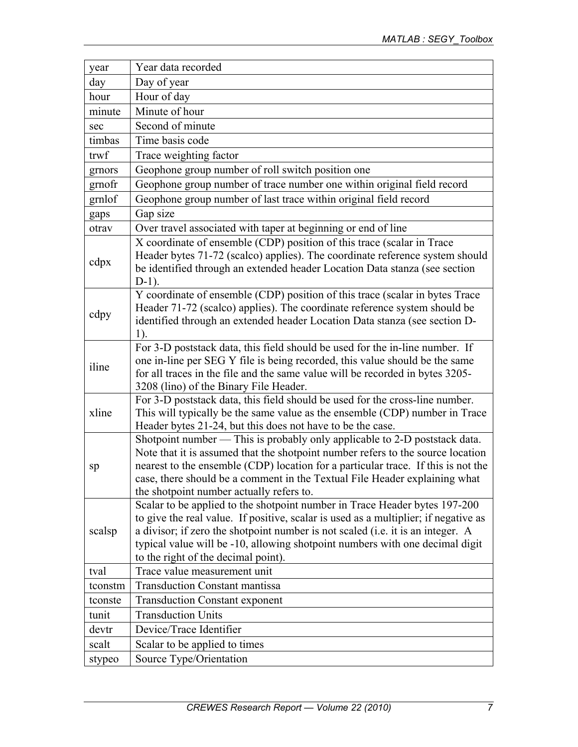| year    | Year data recorded                                                                                                                                                                                                                                                                                                                                                           |
|---------|------------------------------------------------------------------------------------------------------------------------------------------------------------------------------------------------------------------------------------------------------------------------------------------------------------------------------------------------------------------------------|
| day     | Day of year                                                                                                                                                                                                                                                                                                                                                                  |
| hour    | Hour of day                                                                                                                                                                                                                                                                                                                                                                  |
| minute  | Minute of hour                                                                                                                                                                                                                                                                                                                                                               |
| sec     | Second of minute                                                                                                                                                                                                                                                                                                                                                             |
| timbas  | Time basis code                                                                                                                                                                                                                                                                                                                                                              |
| trwf    | Trace weighting factor                                                                                                                                                                                                                                                                                                                                                       |
| grnors  | Geophone group number of roll switch position one                                                                                                                                                                                                                                                                                                                            |
| grnofr  | Geophone group number of trace number one within original field record                                                                                                                                                                                                                                                                                                       |
| grnlof  | Geophone group number of last trace within original field record                                                                                                                                                                                                                                                                                                             |
| gaps    | Gap size                                                                                                                                                                                                                                                                                                                                                                     |
| otrav   | Over travel associated with taper at beginning or end of line                                                                                                                                                                                                                                                                                                                |
| cdpx    | X coordinate of ensemble (CDP) position of this trace (scalar in Trace<br>Header bytes 71-72 (scalco) applies). The coordinate reference system should<br>be identified through an extended header Location Data stanza (see section<br>$D-1$ ).                                                                                                                             |
| cdpy    | Y coordinate of ensemble (CDP) position of this trace (scalar in bytes Trace<br>Header 71-72 (scalco) applies). The coordinate reference system should be<br>identified through an extended header Location Data stanza (see section D-<br>$1$ ).                                                                                                                            |
| iline   | For 3-D poststack data, this field should be used for the in-line number. If<br>one in-line per SEG Y file is being recorded, this value should be the same<br>for all traces in the file and the same value will be recorded in bytes 3205-<br>3208 (lino) of the Binary File Header.                                                                                       |
| xline   | For 3-D poststack data, this field should be used for the cross-line number.<br>This will typically be the same value as the ensemble (CDP) number in Trace<br>Header bytes 21-24, but this does not have to be the case.                                                                                                                                                    |
| sp      | Shotpoint number — This is probably only applicable to 2-D poststack data.<br>Note that it is assumed that the shotpoint number refers to the source location<br>nearest to the ensemble (CDP) location for a particular trace. If this is not the<br>case, there should be a comment in the Textual File Header explaining what<br>the shotpoint number actually refers to. |
| scalsp  | Scalar to be applied to the shotpoint number in Trace Header bytes 197-200<br>to give the real value. If positive, scalar is used as a multiplier; if negative as<br>a divisor; if zero the shotpoint number is not scaled (i.e. it is an integer. A<br>typical value will be -10, allowing shotpoint numbers with one decimal digit<br>to the right of the decimal point).  |
| tval    | Trace value measurement unit                                                                                                                                                                                                                                                                                                                                                 |
| tconstm | <b>Transduction Constant mantissa</b>                                                                                                                                                                                                                                                                                                                                        |
| tconste | <b>Transduction Constant exponent</b>                                                                                                                                                                                                                                                                                                                                        |
| tunit   | <b>Transduction Units</b>                                                                                                                                                                                                                                                                                                                                                    |
| devtr   | Device/Trace Identifier                                                                                                                                                                                                                                                                                                                                                      |
| scalt   | Scalar to be applied to times                                                                                                                                                                                                                                                                                                                                                |
| stypeo  | Source Type/Orientation                                                                                                                                                                                                                                                                                                                                                      |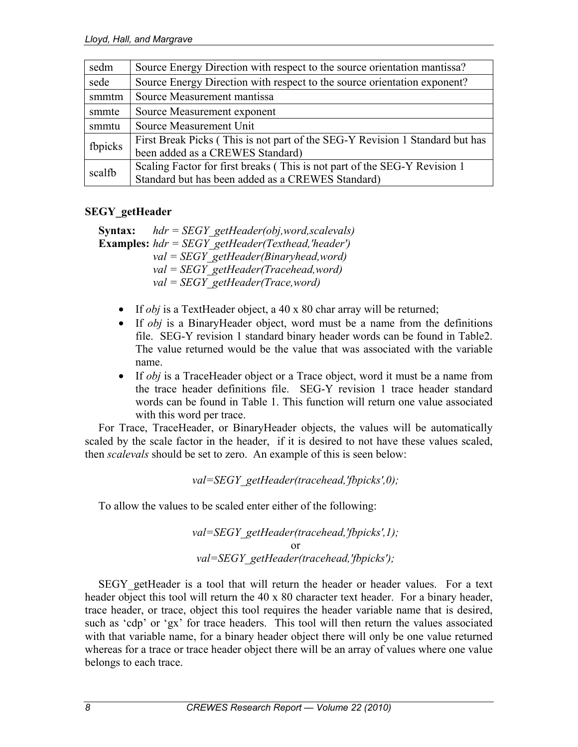| sedm    | Source Energy Direction with respect to the source orientation mantissa?     |
|---------|------------------------------------------------------------------------------|
| sede    | Source Energy Direction with respect to the source orientation exponent?     |
| smmtm   | Source Measurement mantissa                                                  |
| smmte   | Source Measurement exponent                                                  |
| smmtu   | Source Measurement Unit                                                      |
| fbpicks | First Break Picks (This is not part of the SEG-Y Revision 1 Standard but has |
|         | been added as a CREWES Standard)                                             |
| scalfb  | Scaling Factor for first breaks (This is not part of the SEG-Y Revision 1)   |
|         | Standard but has been added as a CREWES Standard)                            |

#### **SEGY\_getHeader**

**Syntax:** *hdr = SEGY\_getHeader(obj,word,scalevals)*  **Examples:** *hdr = SEGY\_getHeader(Texthead,'header') val = SEGY\_getHeader(Binaryhead,word) val = SEGY\_getHeader(Tracehead,word) val = SEGY\_getHeader(Trace,word)* 

- If *obj* is a TextHeader object, a 40 x 80 char array will be returned;
- If *obj* is a BinaryHeader object, word must be a name from the definitions file. SEG-Y revision 1 standard binary header words can be found in Table2. The value returned would be the value that was associated with the variable name.
- If *obj* is a TraceHeader object or a Trace object, word it must be a name from the trace header definitions file. SEG-Y revision 1 trace header standard words can be found in Table 1. This function will return one value associated with this word per trace.

For Trace, TraceHeader, or BinaryHeader objects, the values will be automatically scaled by the scale factor in the header, if it is desired to not have these values scaled, then *scalevals* should be set to zero. An example of this is seen below:

*val=SEGY\_getHeader(tracehead,'fbpicks',0);* 

To allow the values to be scaled enter either of the following:

*val=SEGY\_getHeader(tracehead,'fbpicks',1);*  or *val=SEGY\_getHeader(tracehead,'fbpicks');* 

SEGY getHeader is a tool that will return the header or header values. For a text header object this tool will return the 40 x 80 character text header. For a binary header, trace header, or trace, object this tool requires the header variable name that is desired, such as 'cdp' or 'gx' for trace headers. This tool will then return the values associated with that variable name, for a binary header object there will only be one value returned whereas for a trace or trace header object there will be an array of values where one value belongs to each trace.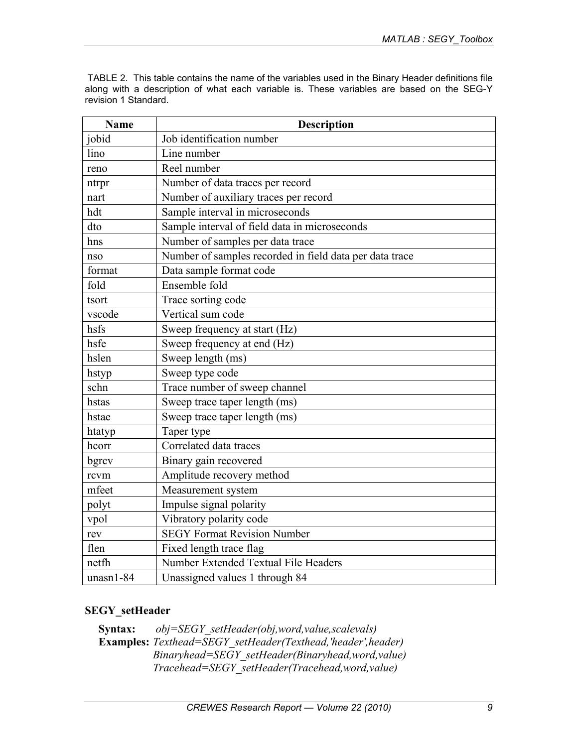TABLE 2. This table contains the name of the variables used in the Binary Header definitions file along with a description of what each variable is. These variables are based on the SEG-Y revision 1 Standard.

| <b>Name</b> | <b>Description</b>                                      |
|-------------|---------------------------------------------------------|
| jobid       | Job identification number                               |
| lino        | Line number                                             |
| reno        | Reel number                                             |
| ntrpr       | Number of data traces per record                        |
| nart        | Number of auxiliary traces per record                   |
| hdt         | Sample interval in microseconds                         |
| dto         | Sample interval of field data in microseconds           |
| hns         | Number of samples per data trace                        |
| nso         | Number of samples recorded in field data per data trace |
| format      | Data sample format code                                 |
| fold        | Ensemble fold                                           |
| tsort       | Trace sorting code                                      |
| vscode      | Vertical sum code                                       |
| hsfs        | Sweep frequency at start (Hz)                           |
| hsfe        | Sweep frequency at end (Hz)                             |
| hslen       | Sweep length (ms)                                       |
| hstyp       | Sweep type code                                         |
| schn        | Trace number of sweep channel                           |
| hstas       | Sweep trace taper length (ms)                           |
| hstae       | Sweep trace taper length (ms)                           |
| htatyp      | Taper type                                              |
| hcorr       | Correlated data traces                                  |
| bgrcv       | Binary gain recovered                                   |
| rcvm        | Amplitude recovery method                               |
| mfeet       | Measurement system                                      |
| polyt       | Impulse signal polarity                                 |
| vpol        | Vibratory polarity code                                 |
| rev         | <b>SEGY Format Revision Number</b>                      |
| flen        | Fixed length trace flag                                 |
| netfh       | Number Extended Textual File Headers                    |
| $unasn1-84$ | Unassigned values 1 through 84                          |

# **SEGY\_setHeader**

**Syntax:** *obj=SEGY\_setHeader(obj,word,value,scalevals)*  **Examples:** *Texthead=SEGY\_setHeader(Texthead,'header',header) Binaryhead=SEGY\_setHeader(Binaryhead,word,value) Tracehead=SEGY\_setHeader(Tracehead,word,value)*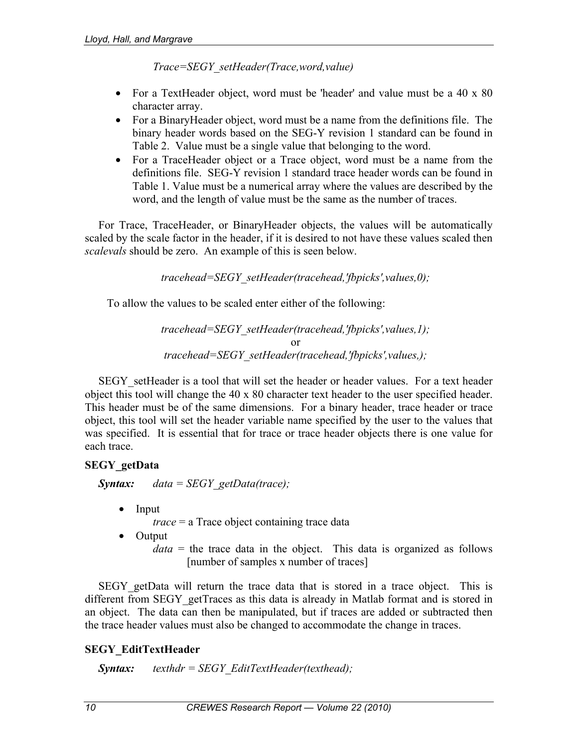*Trace=SEGY\_setHeader(Trace,word,value)* 

- For a TextHeader object, word must be 'header' and value must be a 40 x 80 character array.
- For a BinaryHeader object, word must be a name from the definitions file. The binary header words based on the SEG-Y revision 1 standard can be found in Table 2. Value must be a single value that belonging to the word.
- For a TraceHeader object or a Trace object, word must be a name from the definitions file. SEG-Y revision 1 standard trace header words can be found in Table 1. Value must be a numerical array where the values are described by the word, and the length of value must be the same as the number of traces.

For Trace, TraceHeader, or BinaryHeader objects, the values will be automatically scaled by the scale factor in the header, if it is desired to not have these values scaled then *scalevals* should be zero. An example of this is seen below.

*tracehead=SEGY\_setHeader(tracehead,'fbpicks',values,0);* 

To allow the values to be scaled enter either of the following:

*tracehead=SEGY\_setHeader(tracehead,'fbpicks',values,1);*  or *tracehead=SEGY\_setHeader(tracehead,'fbpicks',values,);* 

SEGY setHeader is a tool that will set the header or header values. For a text header object this tool will change the 40 x 80 character text header to the user specified header. This header must be of the same dimensions. For a binary header, trace header or trace object, this tool will set the header variable name specified by the user to the values that was specified. It is essential that for trace or trace header objects there is one value for each trace.

# **SEGY\_getData**

*Syntax: data = SEGY\_getData(trace);* 

• Input

*trace* = a Trace object containing trace data

- Output
	- *data* = the trace data in the object. This data is organized as follows [number of samples x number of traces]

SEGY getData will return the trace data that is stored in a trace object. This is different from SEGY getTraces as this data is already in Matlab format and is stored in an object. The data can then be manipulated, but if traces are added or subtracted then the trace header values must also be changed to accommodate the change in traces.

# **SEGY\_EditTextHeader**

*Syntax: texthdr = SEGY\_EditTextHeader(texthead);*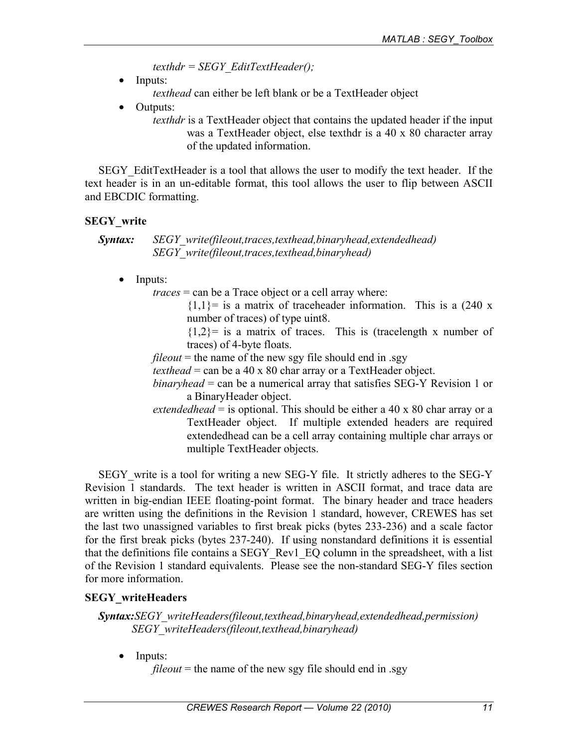*texthdr = SEGY\_EditTextHeader();* 

Inputs:

*texthead* can either be left blank or be a TextHeader object

- Outputs:
	- *texthdr* is a TextHeader object that contains the updated header if the input was a TextHeader object, else texthdr is a 40 x 80 character array of the updated information.

SEGY EditTextHeader is a tool that allows the user to modify the text header. If the text header is in an un-editable format, this tool allows the user to flip between ASCII and EBCDIC formatting.

#### **SEGY\_write**

*Syntax: SEGY\_write(fileout,traces,texthead,binaryhead,extendedhead) SEGY\_write(fileout,traces,texthead,binaryhead)*

• Inputs:

*traces* = can be a Trace object or a cell array where:

 ${1,1}$  = is a matrix of traceheader information. This is a (240 x number of traces) of type uint8.

 ${1,2}$  is a matrix of traces. This is (tracelength x number of traces) of 4-byte floats.

 $fileout$  = the name of the new sgy file should end in .sgy

- *texthead* = can be a 40 x 80 char array or a TextHeader object.
- *binaryhead* = can be a numerical array that satisfies SEG-Y Revision 1 or a BinaryHeader object.
- *extendedhead* = is optional. This should be either a 40 x 80 char array or a TextHeader object. If multiple extended headers are required extendedhead can be a cell array containing multiple char arrays or multiple TextHeader objects.

SEGY write is a tool for writing a new SEG-Y file. It strictly adheres to the SEG-Y Revision 1 standards. The text header is written in ASCII format, and trace data are written in big-endian IEEE floating-point format. The binary header and trace headers are written using the definitions in the Revision 1 standard, however, CREWES has set the last two unassigned variables to first break picks (bytes 233-236) and a scale factor for the first break picks (bytes 237-240). If using nonstandard definitions it is essential that the definitions file contains a SEGY\_Rev1\_EQ column in the spreadsheet, with a list of the Revision 1 standard equivalents. Please see the non-standard SEG-Y files section for more information.

# **SEGY\_writeHeaders**

*Syntax:SEGY\_writeHeaders(fileout,texthead,binaryhead,extendedhead,permission) SEGY\_writeHeaders(fileout,texthead,binaryhead)* 

• Inputs:

*fileout* = the name of the new sgy file should end in .sgy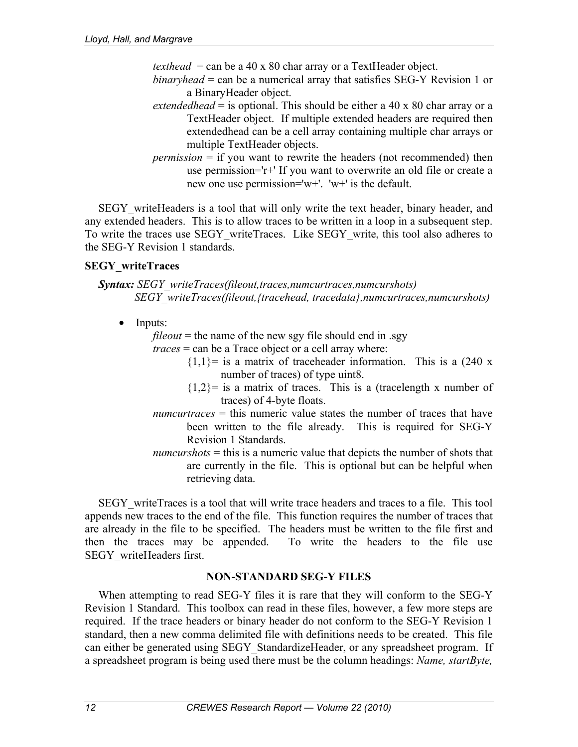*texthead* = can be a 40 x 80 char array or a TextHeader object.

- *binaryhead* = can be a numerical array that satisfies SEG-Y Revision 1 or a BinaryHeader object.
- *extendedhead* = is optional. This should be either a 40 x 80 char array or a TextHeader object. If multiple extended headers are required then extendedhead can be a cell array containing multiple char arrays or multiple TextHeader objects.
- *permission* = if you want to rewrite the headers (not recommended) then use permission='r+' If you want to overwrite an old file or create a new one use permission='w+'. 'w+' is the default.

SEGY\_writeHeaders is a tool that will only write the text header, binary header, and any extended headers. This is to allow traces to be written in a loop in a subsequent step. To write the traces use SEGY\_writeTraces. Like SEGY\_write, this tool also adheres to the SEG-Y Revision 1 standards.

#### **SEGY\_writeTraces**

*Syntax: SEGY\_writeTraces(fileout,traces,numcurtraces,numcurshots) SEGY\_writeTraces(fileout,{tracehead, tracedata},numcurtraces,numcurshots)* 

• Inputs:

*fileout* = the name of the new sgy file should end in .sgy

- *traces* = can be a Trace object or a cell array where:
	- ${1,1}$ = is a matrix of traceheader information. This is a (240 x number of traces) of type uint8.
	- ${1,2}$  is a matrix of traces. This is a (tracelength x number of traces) of 4-byte floats.
- *numcurtraces* = this numeric value states the number of traces that have been written to the file already. This is required for SEG-Y Revision 1 Standards.
- *numcurshots* = this is a numeric value that depicts the number of shots that are currently in the file. This is optional but can be helpful when retrieving data.

SEGY writeTraces is a tool that will write trace headers and traces to a file. This tool appends new traces to the end of the file. This function requires the number of traces that are already in the file to be specified. The headers must be written to the file first and then the traces may be appended. To write the headers to the file use SEGY\_writeHeaders first.

#### **NON-STANDARD SEG-Y FILES**

When attempting to read SEG-Y files it is rare that they will conform to the SEG-Y Revision 1 Standard. This toolbox can read in these files, however, a few more steps are required. If the trace headers or binary header do not conform to the SEG-Y Revision 1 standard, then a new comma delimited file with definitions needs to be created. This file can either be generated using SEGY\_StandardizeHeader, or any spreadsheet program. If a spreadsheet program is being used there must be the column headings: *Name, startByte,*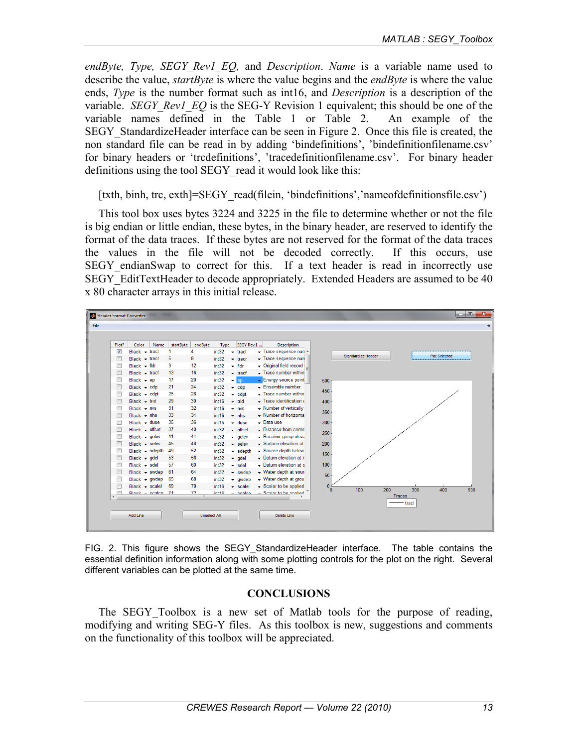*endByte, Type, SEGY\_Rev1\_EQ,* and *Description*. *Name* is a variable name used to describe the value, *startByte* is where the value begins and the *endByte* is where the value ends, *Type* is the number format such as int16, and *Description* is a description of the variable. *SEGY\_Rev1\_EQ* is the SEG-Y\_Revision 1 equivalent; this should be one of the variable names defined in the Table 1 or Table 2. An example of the SEGY\_StandardizeHeader interface can be seen in Figure 2. Once this file is created, the non standard file can be read in by adding 'bindefinitions', 'bindefinitionfilename.csv' for binary headers or 'trcdefinitions', 'tracedefinitionfilename.csv'. For binary header definitions using the tool SEGY read it would look like this:

[txth, binh, trc, exth]=SEGY\_read(filein, 'bindefinitions','nameofdefinitionsfile.csv')

This tool box uses bytes 3224 and 3225 in the file to determine whether or not the file is big endian or little endian, these bytes, in the binary header, are reserved to identify the format of the data traces. If these bytes are not reserved for the format of the data traces the values in the file will not be decoded correctly. If this occurs, use SEGY\_endianSwap to correct for this. If a text header is read in incorrectly use SEGY\_EditTextHeader to decode appropriately. Extended Headers are assumed to be 40 x 80 character arrays in this initial release.

|                      | Header Format Converter |      |           |                     |                   |                                 |                                                              | la O                                                      |
|----------------------|-------------------------|------|-----------|---------------------|-------------------|---------------------------------|--------------------------------------------------------------|-----------------------------------------------------------|
|                      |                         |      |           |                     |                   |                                 |                                                              |                                                           |
|                      |                         |      |           |                     |                   |                                 |                                                              |                                                           |
| Plot?                | Color                   | Name | startByte | endByte             | Type              | SEGY Rev.1                      | <b>Description</b>                                           |                                                           |
| $\blacktriangledown$ | $Black - track$         |      | 1         | 4                   | int32             | tracl<br>۰                      | Trace sequence nun ^                                         | Standardize Header<br><b>Plot Selected</b>                |
| $\Box$               | $Black - tracr$         |      | 5         | 8                   | int32             | $\div$ tracr                    | Trace sequence nun                                           |                                                           |
| E                    | $Black - flat$          |      | 9         | 12                  | int32             | $-$ fidr                        | - Original field record                                      |                                                           |
| $\Box$               | $Black - track$         |      | 13        | 16                  | int32             | $\div$ tracf                    | $\overline{\phantom{a}}$ Trace number within                 |                                                           |
| Г                    | Black $\div$ ep         |      | 17        | 20                  | int32             | $\blacktriangleright$ ep        | Energy source point                                          | 500                                                       |
| E                    | $Black - cdp$           |      | 21        | 24                  | int32             | $\bullet$ cdp                   | $\overline{\phantom{a}}$ Ensemble number                     |                                                           |
| E                    | $Black - cdpt$          |      | 25        | 28                  | int32             | $\blacktriangleright$ cdpt      | - Trace number within                                        | 450                                                       |
| Г                    | $Black - trid$          |      | 29        | 30                  | int16             | $~\div~$ trid                   | $\overline{\phantom{a}}$ Trace identification $\overline{c}$ | 400                                                       |
| Г                    | $Black - nvs$           |      | 31        | 32                  | int <sub>16</sub> | $\sqrt{N}$                      | - Number of vertically                                       |                                                           |
| E                    | Black $\div$ nhs        |      | 33        | 34                  | int <sub>16</sub> | $~\cdot$ nhs                    | - Number of horizonta                                        | 350                                                       |
| г                    | $Black - dust$          |      | 35        | 36                  | int16             | $\blacktriangleright$ duse      | $\overline{\phantom{a}}$ Data use                            | 300                                                       |
| $\Box$               | $Black - offset$        |      | 37        | 40                  | int32             | $\overline{\phantom{a}}$ offset | - Distance from cente                                        | 250                                                       |
| $\Box$               | $Black - gelev$         |      | 41        | 44                  | int32             | $\overline{\phantom{a}}$ gelev  | - Receiver group eleva                                       |                                                           |
| $\Box$               | $Black - selev$         |      | 45        | 48                  | int32             | $\overline{\phantom{a}}$ selev  | $\sim$ Surface elevation at                                  | 200                                                       |
| $\Box$               | $Black - sdepth$        |      | 49        | 52                  | int32             | $\blacktriangleright$ sdepth    | Source depth below                                           | 150                                                       |
| $\Box$               | Black $\div$ gdel       |      | 53        | 56                  | int32             | $-$ gdel                        | $\sim$ Datum elevation at r                                  |                                                           |
| Г                    | $Black - sdel$          |      | 57        | 60                  | int32             | $\overline{\phantom{a}}$ sdel   | $\sim$ Datum elevation at s                                  | 100                                                       |
| $\Box$               | $Black - swdep$         |      | 61        | 64                  | int32             | $\overline{\phantom{a}}$ swdep  | - Water depth at sour-                                       | 50                                                        |
| Г                    | $Black - gwdep$         |      | 65        | 68                  | int32             | $\blacktriangledown$ gwdep      | - Water depth at grou                                        |                                                           |
| Г                    | $Black - scale$         |      | 69        | 70                  | int16             | $\overline{\phantom{a}}$ scalel | Scalar to be applied                                         | $\mathbf{0}$                                              |
| $\overline{1}$       | Rlock - cealen 71       |      |           | 72                  | int46             | eenlen                          | Sealar to he annited                                         | 200<br>100<br>300<br>400<br>$\mathbf{0}$<br><b>Traces</b> |
|                      |                         |      |           | $\mathbf{H}$ .      |                   |                                 |                                                              | tracl                                                     |
|                      | Add Line                |      |           | <b>Unselect All</b> |                   |                                 | Delete Line                                                  |                                                           |
|                      |                         |      |           |                     |                   |                                 |                                                              |                                                           |

FIG. 2. This figure shows the SEGY\_StandardizeHeader interface. The table contains the essential definition information along with some plotting controls for the plot on the right. Several different variables can be plotted at the same time.

#### **CONCLUSIONS**

The SEGY Toolbox is a new set of Matlab tools for the purpose of reading, modifying and writing SEG-Y files. As this toolbox is new, suggestions and comments on the functionality of this toolbox will be appreciated.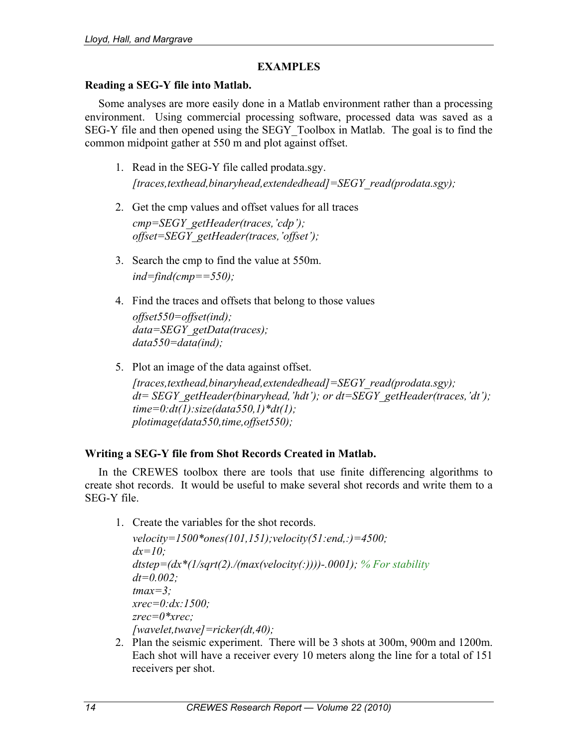### **EXAMPLES**

#### **Reading a SEG-Y file into Matlab.**

Some analyses are more easily done in a Matlab environment rather than a processing environment. Using commercial processing software, processed data was saved as a SEG-Y file and then opened using the SEGY\_Toolbox in Matlab. The goal is to find the common midpoint gather at 550 m and plot against offset.

- 1. Read in the SEG-Y file called prodata.sgy. *[traces,texthead,binaryhead,extendedhead]=SEGY\_read(prodata.sgy);*
- 2. Get the cmp values and offset values for all traces *cmp=SEGY\_getHeader(traces,'cdp'); offset=SEGY\_getHeader(traces,'offset');*
- 3. Search the cmp to find the value at 550m. *ind=find(cmp==550);*
- 4. Find the traces and offsets that belong to those values *offset550=offset(ind); data=SEGY\_getData(traces); data550=data(ind);*
- 5. Plot an image of the data against offset. *[traces,texthead,binaryhead,extendedhead]=SEGY\_read(prodata.sgy); dt= SEGY\_getHeader(binaryhead,'hdt'); or dt=SEGY\_getHeader(traces,'dt'); time=0:dt(1):size(data550,1)\*dt(1); plotimage(data550,time,offset550);*

# **Writing a SEG-Y file from Shot Records Created in Matlab.**

In the CREWES toolbox there are tools that use finite differencing algorithms to create shot records. It would be useful to make several shot records and write them to a SEG-Y file.

1. Create the variables for the shot records.

*velocity=1500\*ones(101,151);velocity(51:end,:)=4500; dx=10; dtstep=(dx\*(1/sqrt(2)./(max(velocity(:))))-.0001); % For stability dt=0.002; tmax=3; xrec=0:dx:1500; zrec=0\*xrec; [wavelet,twave]=ricker(dt,40);* 

2. Plan the seismic experiment. There will be 3 shots at 300m, 900m and 1200m. Each shot will have a receiver every 10 meters along the line for a total of 151 receivers per shot.